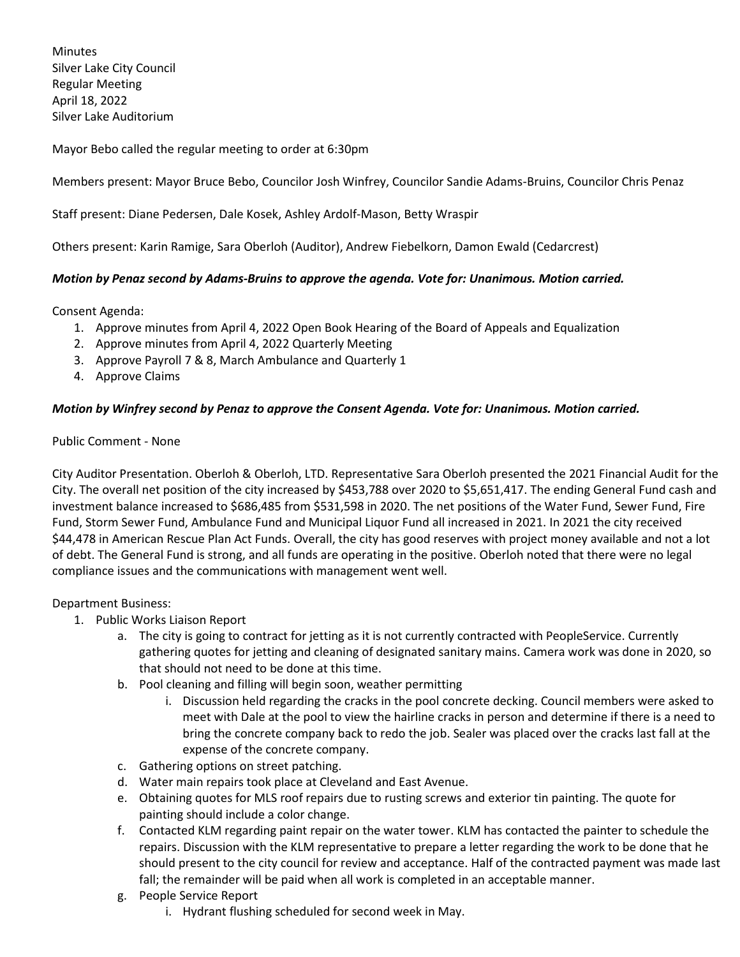**Minutes** Silver Lake City Council Regular Meeting April 18, 2022 Silver Lake Auditorium

Mayor Bebo called the regular meeting to order at 6:30pm

Members present: Mayor Bruce Bebo, Councilor Josh Winfrey, Councilor Sandie Adams-Bruins, Councilor Chris Penaz

Staff present: Diane Pedersen, Dale Kosek, Ashley Ardolf-Mason, Betty Wraspir

Others present: Karin Ramige, Sara Oberloh (Auditor), Andrew Fiebelkorn, Damon Ewald (Cedarcrest)

#### *Motion by Penaz second by Adams-Bruins to approve the agenda. Vote for: Unanimous. Motion carried.*

Consent Agenda:

- 1. Approve minutes from April 4, 2022 Open Book Hearing of the Board of Appeals and Equalization
- 2. Approve minutes from April 4, 2022 Quarterly Meeting
- 3. Approve Payroll 7 & 8, March Ambulance and Quarterly 1
- 4. Approve Claims

#### *Motion by Winfrey second by Penaz to approve the Consent Agenda. Vote for: Unanimous. Motion carried.*

#### Public Comment - None

City Auditor Presentation. Oberloh & Oberloh, LTD. Representative Sara Oberloh presented the 2021 Financial Audit for the City. The overall net position of the city increased by \$453,788 over 2020 to \$5,651,417. The ending General Fund cash and investment balance increased to \$686,485 from \$531,598 in 2020. The net positions of the Water Fund, Sewer Fund, Fire Fund, Storm Sewer Fund, Ambulance Fund and Municipal Liquor Fund all increased in 2021. In 2021 the city received \$44,478 in American Rescue Plan Act Funds. Overall, the city has good reserves with project money available and not a lot of debt. The General Fund is strong, and all funds are operating in the positive. Oberloh noted that there were no legal compliance issues and the communications with management went well.

Department Business:

- 1. Public Works Liaison Report
	- a. The city is going to contract for jetting as it is not currently contracted with PeopleService. Currently gathering quotes for jetting and cleaning of designated sanitary mains. Camera work was done in 2020, so that should not need to be done at this time.
	- b. Pool cleaning and filling will begin soon, weather permitting
		- i. Discussion held regarding the cracks in the pool concrete decking. Council members were asked to meet with Dale at the pool to view the hairline cracks in person and determine if there is a need to bring the concrete company back to redo the job. Sealer was placed over the cracks last fall at the expense of the concrete company.
	- c. Gathering options on street patching.
	- d. Water main repairs took place at Cleveland and East Avenue.
	- e. Obtaining quotes for MLS roof repairs due to rusting screws and exterior tin painting. The quote for painting should include a color change.
	- f. Contacted KLM regarding paint repair on the water tower. KLM has contacted the painter to schedule the repairs. Discussion with the KLM representative to prepare a letter regarding the work to be done that he should present to the city council for review and acceptance. Half of the contracted payment was made last fall; the remainder will be paid when all work is completed in an acceptable manner.
	- g. People Service Report
		- i. Hydrant flushing scheduled for second week in May.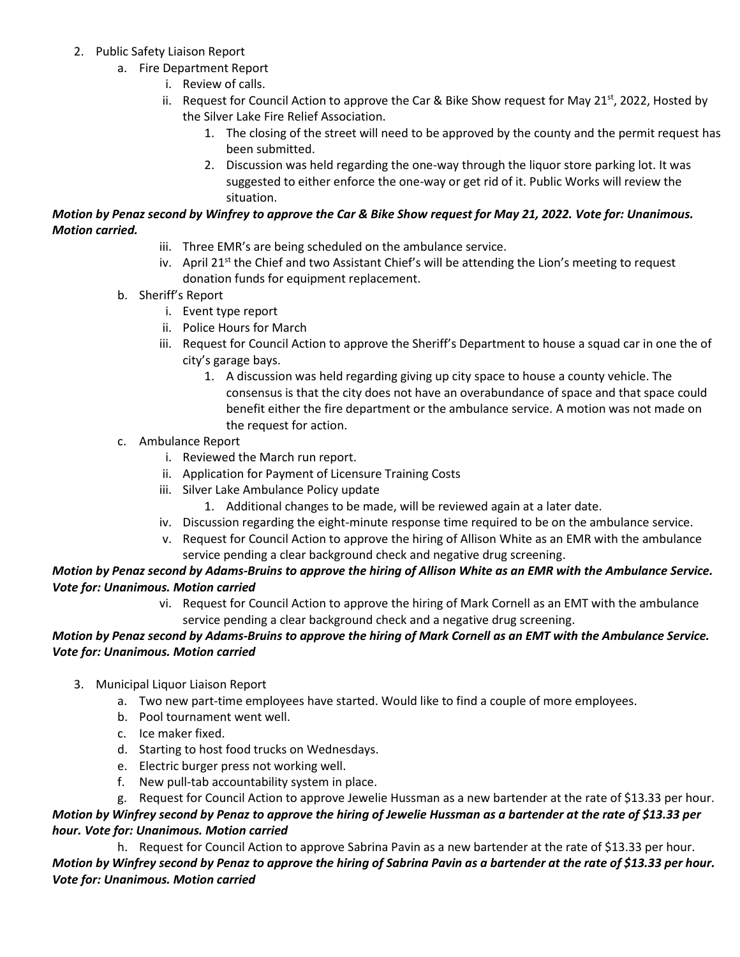- 2. Public Safety Liaison Report
	- a. Fire Department Report
		- i. Review of calls.
		- ii. Request for Council Action to approve the Car & Bike Show request for May 21<sup>st</sup>, 2022, Hosted by the Silver Lake Fire Relief Association.
			- 1. The closing of the street will need to be approved by the county and the permit request has been submitted.
			- 2. Discussion was held regarding the one-way through the liquor store parking lot. It was suggested to either enforce the one-way or get rid of it. Public Works will review the situation.

## *Motion by Penaz second by Winfrey to approve the Car & Bike Show request for May 21, 2022. Vote for: Unanimous. Motion carried.*

- iii. Three EMR's are being scheduled on the ambulance service.
- iv. April 21<sup>st</sup> the Chief and two Assistant Chief's will be attending the Lion's meeting to request donation funds for equipment replacement.
- b. Sheriff's Report
	- i. Event type report
	- ii. Police Hours for March
	- iii. Request for Council Action to approve the Sheriff's Department to house a squad car in one the of city's garage bays.
		- 1. A discussion was held regarding giving up city space to house a county vehicle. The consensus is that the city does not have an overabundance of space and that space could benefit either the fire department or the ambulance service. A motion was not made on the request for action.
- c. Ambulance Report
	- i. Reviewed the March run report.
	- ii. Application for Payment of Licensure Training Costs
	- iii. Silver Lake Ambulance Policy update
		- 1. Additional changes to be made, will be reviewed again at a later date.
	- iv. Discussion regarding the eight-minute response time required to be on the ambulance service.
	- v. Request for Council Action to approve the hiring of Allison White as an EMR with the ambulance service pending a clear background check and negative drug screening.

## *Motion by Penaz second by Adams-Bruins to approve the hiring of Allison White as an EMR with the Ambulance Service. Vote for: Unanimous. Motion carried*

vi. Request for Council Action to approve the hiring of Mark Cornell as an EMT with the ambulance service pending a clear background check and a negative drug screening.

## *Motion by Penaz second by Adams-Bruins to approve the hiring of Mark Cornell as an EMT with the Ambulance Service. Vote for: Unanimous. Motion carried*

- 3. Municipal Liquor Liaison Report
	- a. Two new part-time employees have started. Would like to find a couple of more employees.
	- b. Pool tournament went well.
	- c. Ice maker fixed.
	- d. Starting to host food trucks on Wednesdays.
	- e. Electric burger press not working well.
	- f. New pull-tab accountability system in place.

g. Request for Council Action to approve Jewelie Hussman as a new bartender at the rate of \$13.33 per hour. *Motion by Winfrey second by Penaz to approve the hiring of Jewelie Hussman as a bartender at the rate of \$13.33 per hour. Vote for: Unanimous. Motion carried*

h. Request for Council Action to approve Sabrina Pavin as a new bartender at the rate of \$13.33 per hour. *Motion by Winfrey second by Penaz to approve the hiring of Sabrina Pavin as a bartender at the rate of \$13.33 per hour. Vote for: Unanimous. Motion carried*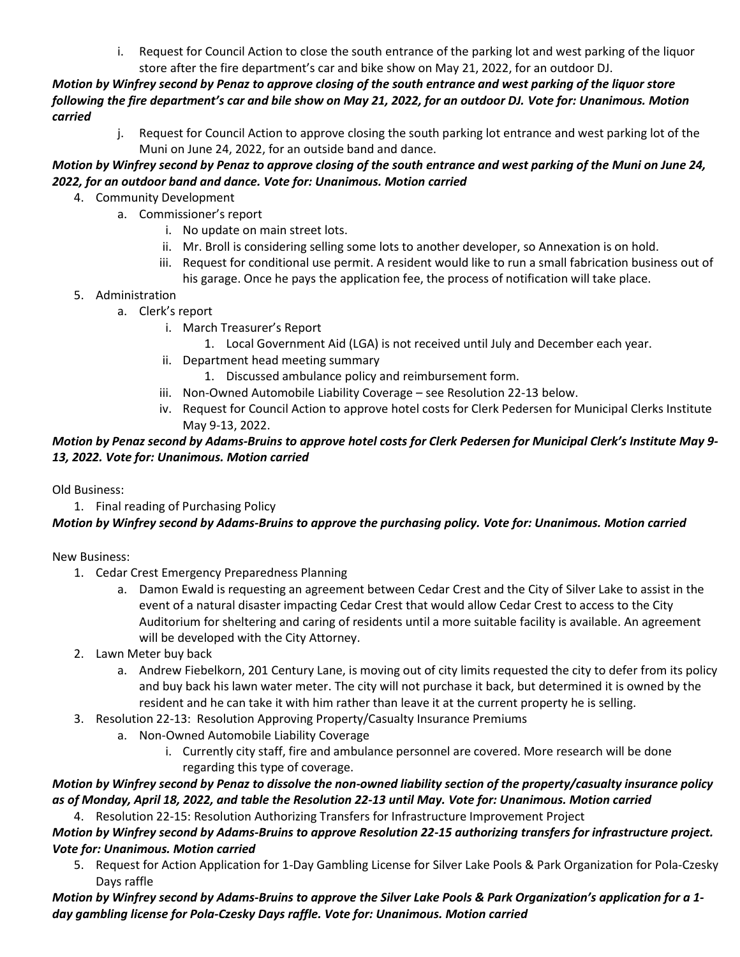i. Request for Council Action to close the south entrance of the parking lot and west parking of the liquor store after the fire department's car and bike show on May 21, 2022, for an outdoor DJ.

*Motion by Winfrey second by Penaz to approve closing of the south entrance and west parking of the liquor store following the fire department's car and bile show on May 21, 2022, for an outdoor DJ. Vote for: Unanimous. Motion carried*

j. Request for Council Action to approve closing the south parking lot entrance and west parking lot of the Muni on June 24, 2022, for an outside band and dance.

# *Motion by Winfrey second by Penaz to approve closing of the south entrance and west parking of the Muni on June 24, 2022, for an outdoor band and dance. Vote for: Unanimous. Motion carried*

- 4. Community Development
	- a. Commissioner's report
		- i. No update on main street lots.
		- ii. Mr. Broll is considering selling some lots to another developer, so Annexation is on hold.
		- iii. Request for conditional use permit. A resident would like to run a small fabrication business out of his garage. Once he pays the application fee, the process of notification will take place.
- 5. Administration
	- a. Clerk's report
		- i. March Treasurer's Report
			- 1. Local Government Aid (LGA) is not received until July and December each year.
		- ii. Department head meeting summary
			- 1. Discussed ambulance policy and reimbursement form.
		- iii. Non-Owned Automobile Liability Coverage see Resolution 22-13 below.
		- iv. Request for Council Action to approve hotel costs for Clerk Pedersen for Municipal Clerks Institute May 9-13, 2022.

# *Motion by Penaz second by Adams-Bruins to approve hotel costs for Clerk Pedersen for Municipal Clerk's Institute May 9- 13, 2022. Vote for: Unanimous. Motion carried*

Old Business:

1. Final reading of Purchasing Policy

# *Motion by Winfrey second by Adams-Bruins to approve the purchasing policy. Vote for: Unanimous. Motion carried*

# New Business:

- 1. Cedar Crest Emergency Preparedness Planning
	- a. Damon Ewald is requesting an agreement between Cedar Crest and the City of Silver Lake to assist in the event of a natural disaster impacting Cedar Crest that would allow Cedar Crest to access to the City Auditorium for sheltering and caring of residents until a more suitable facility is available. An agreement will be developed with the City Attorney.
- 2. Lawn Meter buy back
	- a. Andrew Fiebelkorn, 201 Century Lane, is moving out of city limits requested the city to defer from its policy and buy back his lawn water meter. The city will not purchase it back, but determined it is owned by the resident and he can take it with him rather than leave it at the current property he is selling.
- 3. Resolution 22-13: Resolution Approving Property/Casualty Insurance Premiums
	- a. Non-Owned Automobile Liability Coverage
		- i. Currently city staff, fire and ambulance personnel are covered. More research will be done regarding this type of coverage.

*Motion by Winfrey second by Penaz to dissolve the non-owned liability section of the property/casualty insurance policy as of Monday, April 18, 2022, and table the Resolution 22-13 until May. Vote for: Unanimous. Motion carried*

4. Resolution 22-15: Resolution Authorizing Transfers for Infrastructure Improvement Project

*Motion by Winfrey second by Adams-Bruins to approve Resolution 22-15 authorizing transfers for infrastructure project. Vote for: Unanimous. Motion carried*

5. Request for Action Application for 1-Day Gambling License for Silver Lake Pools & Park Organization for Pola-Czesky Days raffle

*Motion by Winfrey second by Adams-Bruins to approve the Silver Lake Pools & Park Organization's application for a 1 day gambling license for Pola-Czesky Days raffle. Vote for: Unanimous. Motion carried*